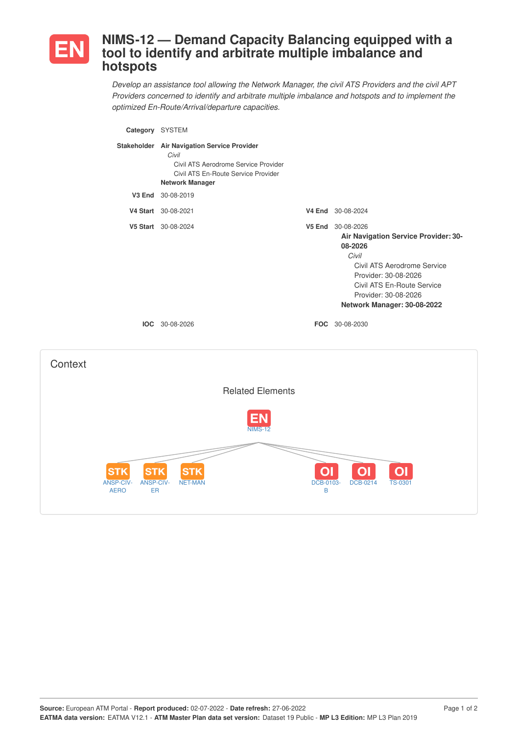

# **NIMS-12 — Demand Capacity Balancing equipped with a tool to identify and arbitrate multiple imbalance and hotspots**

*Develop an assistance tool allowing the Network Manager, the civil ATS Providers and the civil APT Providers concerned to identify and arbitrate multiple imbalance and hotspots and to implement the optimized En-Route/Arrival/departure capacities.*

| Category SYSTEM                                                                       |                                                                                                                                                               |                     |                                                                                                                                                                                                                           |
|---------------------------------------------------------------------------------------|---------------------------------------------------------------------------------------------------------------------------------------------------------------|---------------------|---------------------------------------------------------------------------------------------------------------------------------------------------------------------------------------------------------------------------|
|                                                                                       | Stakeholder Air Navigation Service Provider<br>Civil<br>Civil ATS Aerodrome Service Provider<br>Civil ATS En-Route Service Provider<br><b>Network Manager</b> |                     |                                                                                                                                                                                                                           |
|                                                                                       | V3 End 30-08-2019                                                                                                                                             |                     |                                                                                                                                                                                                                           |
|                                                                                       | V4 Start 30-08-2021                                                                                                                                           |                     | V4 End 30-08-2024                                                                                                                                                                                                         |
|                                                                                       | V5 Start 30-08-2024                                                                                                                                           |                     | V5 End 30-08-2026<br>Air Navigation Service Provider: 30-<br>08-2026<br>Civil<br>Civil ATS Aerodrome Service<br>Provider: 30-08-2026<br>Civil ATS En-Route Service<br>Provider: 30-08-2026<br>Network Manager: 30-08-2022 |
|                                                                                       | <b>IOC</b> 30-08-2026                                                                                                                                         |                     | FOC 30-08-2030                                                                                                                                                                                                            |
| Context                                                                               |                                                                                                                                                               |                     |                                                                                                                                                                                                                           |
|                                                                                       | <b>Related Elements</b>                                                                                                                                       |                     |                                                                                                                                                                                                                           |
|                                                                                       | <b>NIMS-12</b>                                                                                                                                                |                     |                                                                                                                                                                                                                           |
| <b>STK</b><br><b>STK</b><br><b>ANSP-CIV-</b><br><b>ANSP-CIV-</b><br><b>AERO</b><br>ER | STI<br><b>NET-MAN</b>                                                                                                                                         | O<br>DCB-0103-<br>B | $\mathbf{O}$<br>O<br><b>DCB-0214</b><br><b>TS-0301</b>                                                                                                                                                                    |